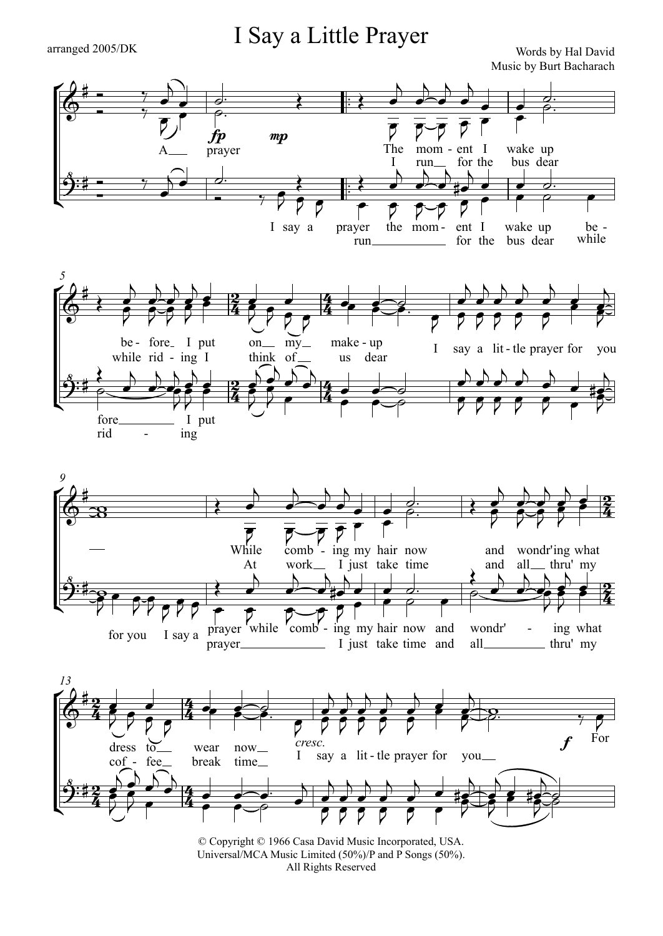## arranged 2005/DK TEXT TRY CHERA Words by Hal David I Say a Little Prayer

Music by Burt Bacharach



All Rights Reserved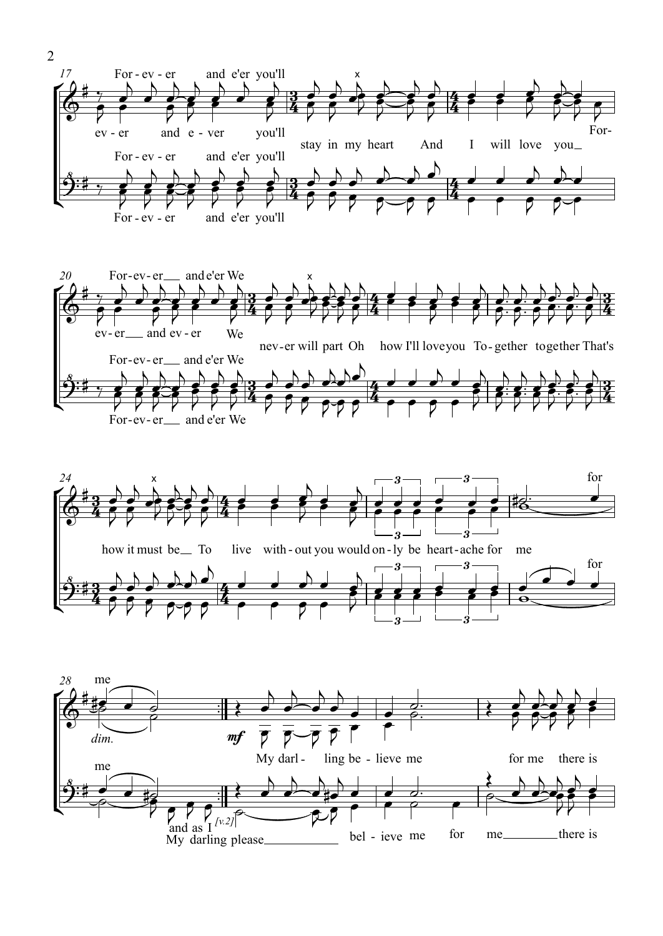